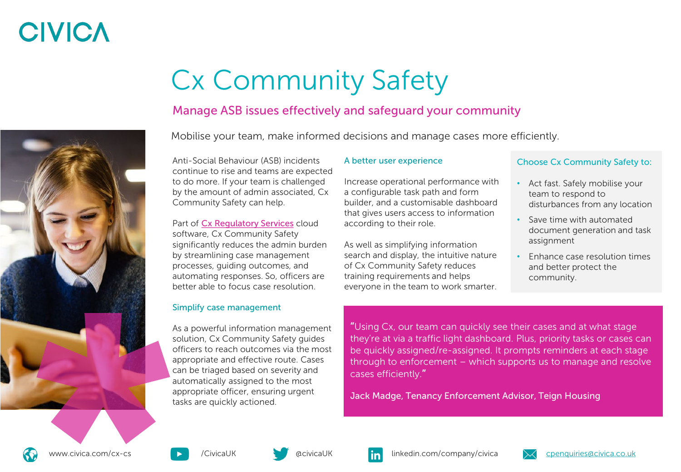## **CIVICA**



# Cx Community Safety

### Manage ASB issues effectively and safeguard your community

Mobilise your team, make informed decisions and manage cases more efficiently.

Anti-Social Behaviour (ASB) incidents continue to rise and teams are expected to do more. If your team is challenged by the amount of admin associated, Cx Community Safety can help.

Part of [Cx Regulatory Services](https://www.civica.com/en-gb/product-pages/cx-regulatory-services/) cloud software, Cx Community Safety significantly reduces the admin burden by streamlining case management processes, guiding outcomes, and automating responses. So, officers are better able to focus case resolution.

### Simplify case management

As a powerful information management solution, Cx Community Safety guides officers to reach outcomes via the most appropriate and effective route. Cases can be triaged based on severity and automatically assigned to the most appropriate officer, ensuring urgent tasks are quickly actioned.

#### A better user experience

Increase operational performance with a configurable task path and form builder, and a customisable dashboard that gives users access to information according to their role.

As well as simplifying information search and display, the intuitive nature of Cx Community Safety reduces training requirements and helps everyone in the team to work smarter.

### Choose Cx Community Safety to:

- Act fast. Safely mobilise your team to respond to disturbances from any location
- Save time with automated document generation and task assignment
- Enhance case resolution times and better protect the community.

"Using Cx, our team can quickly see their cases and at what stage they're at via a traffic light dashboard. Plus, priority tasks or cases can be quickly assigned/re-assigned. It prompts reminders at each stage through to enforcement – which supports us to manage and resolve cases efficiently."

Jack Madge, Tenancy Enforcement Advisor, Teign Housing